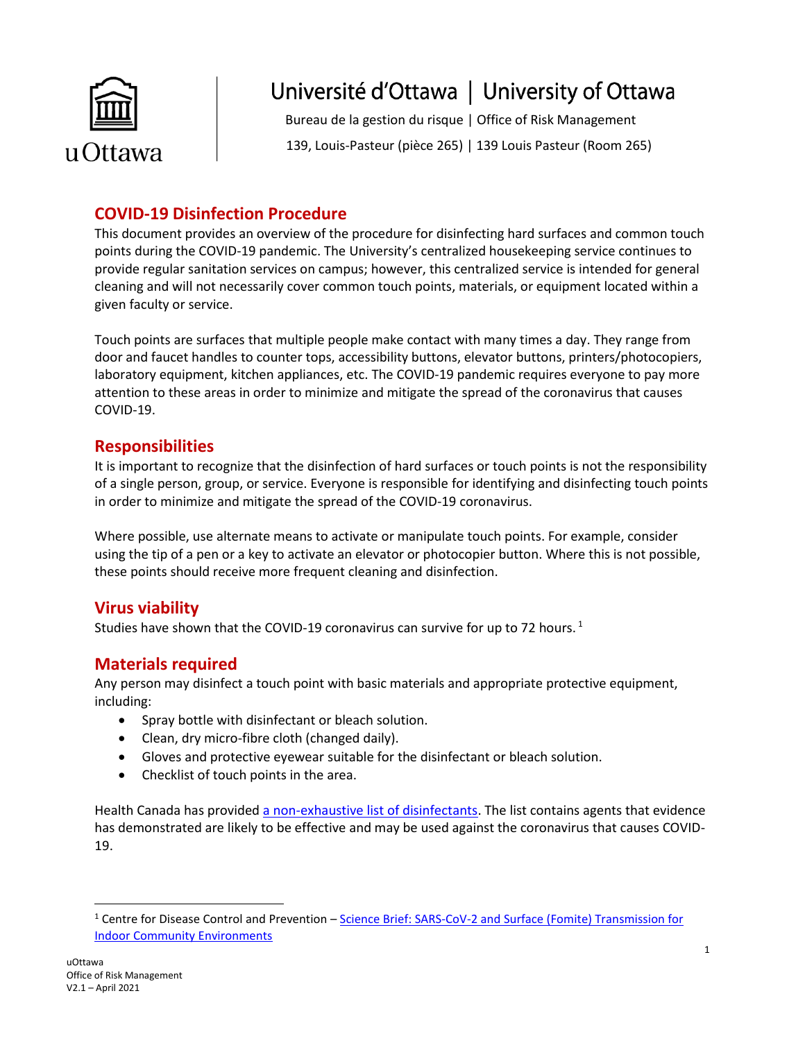

# Université d'Ottawa | University of Ottawa

Bureau de la gestion du risque | Office of Risk Management 139, Louis-Pasteur (pièce 265) | 139 Louis Pasteur (Room 265)

## **COVID-19 Disinfection Procedure**

This document provides an overview of the procedure for disinfecting hard surfaces and common touch points during the COVID-19 pandemic. The University's centralized housekeeping service continues to provide regular sanitation services on campus; however, this centralized service is intended for general cleaning and will not necessarily cover common touch points, materials, or equipment located within a given faculty or service.

Touch points are surfaces that multiple people make contact with many times a day. They range from door and faucet handles to counter tops, accessibility buttons, elevator buttons, printers/photocopiers, laboratory equipment, kitchen appliances, etc. The COVID-19 pandemic requires everyone to pay more attention to these areas in order to minimize and mitigate the spread of the coronavirus that causes COVID-19.

#### **Responsibilities**

It is important to recognize that the disinfection of hard surfaces or touch points is not the responsibility of a single person, group, or service. Everyone is responsible for identifying and disinfecting touch points in order to minimize and mitigate the spread of the COVID-19 coronavirus.

Where possible, use alternate means to activate or manipulate touch points. For example, consider using the tip of a pen or a key to activate an elevator or photocopier button. Where this is not possible, these points should receive more frequent cleaning and disinfection.

#### **Virus viability**

Studies have shown that the COVID-19 coronavirus can survive for up to 72 hours.<sup>1</sup>

### **Materials required**

Any person may disinfect a touch point with basic materials and appropriate protective equipment, including:

- Spray bottle with disinfectant or bleach solution.
- Clean, dry micro-fibre cloth (changed daily).
- Gloves and protective eyewear suitable for the disinfectant or bleach solution.
- Checklist of touch points in the area.

Health Canada has provided [a non-exhaustive list of disinfectants.](https://www.canada.ca/en/health-canada/services/drugs-health-products/disinfectants/covid-19/list.html) The list contains agents that evidence has demonstrated are likely to be effective and may be used against the coronavirus that causes COVID-19.

 $\overline{a}$ 

<sup>1</sup> [Centre](https://www.who.int/emergencies/diseases/novel-coronavirus-2019/question-and-answers-hub/q-a-detail/q-a-coronaviruses) for Disease Control and Prevention – Science Brief: [SARS-CoV-2 and Surface \(Fomite\)](https://www.cdc.gov/coronavirus/2019-ncov/more/science-and-research/surface-transmission.html) Transmission for [Indoor Community Environments](https://www.cdc.gov/coronavirus/2019-ncov/more/science-and-research/surface-transmission.html)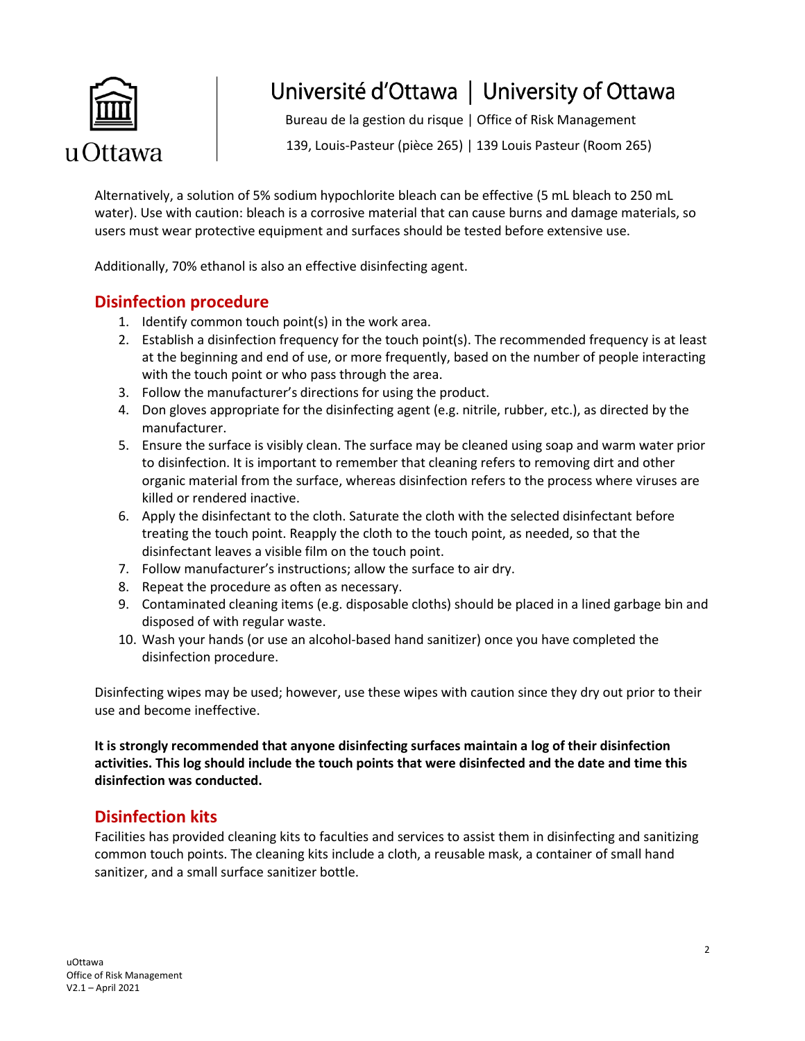

# Université d'Ottawa | University of Ottawa

Bureau de la gestion du risque | Office of Risk Management

139, Louis-Pasteur (pièce 265) | 139 Louis Pasteur (Room 265)

Alternatively, a solution of 5% sodium hypochlorite bleach can be effective (5 mL bleach to 250 mL water). Use with caution: bleach is a corrosive material that can cause burns and damage materials, so users must wear protective equipment and surfaces should be tested before extensive use.

Additionally, 70% ethanol is also an effective disinfecting agent.

#### **Disinfection procedure**

- 1. Identify common touch point(s) in the work area.
- 2. Establish a disinfection frequency for the touch point(s). The recommended frequency is at least at the beginning and end of use, or more frequently, based on the number of people interacting with the touch point or who pass through the area.
- 3. Follow the manufacturer's directions for using the product.
- 4. Don gloves appropriate for the disinfecting agent (e.g. nitrile, rubber, etc.), as directed by the manufacturer.
- 5. Ensure the surface is visibly clean. The surface may be cleaned using soap and warm water prior to disinfection. It is important to remember that cleaning refers to removing dirt and other organic material from the surface, whereas disinfection refers to the process where viruses are killed or rendered inactive.
- 6. Apply the disinfectant to the cloth. Saturate the cloth with the selected disinfectant before treating the touch point. Reapply the cloth to the touch point, as needed, so that the disinfectant leaves a visible film on the touch point.
- 7. Follow manufacturer's instructions; allow the surface to air dry.
- 8. Repeat the procedure as often as necessary.
- 9. Contaminated cleaning items (e.g. disposable cloths) should be placed in a lined garbage bin and disposed of with regular waste.
- 10. Wash your hands (or use an alcohol-based hand sanitizer) once you have completed the disinfection procedure.

Disinfecting wipes may be used; however, use these wipes with caution since they dry out prior to their use and become ineffective.

**It is strongly recommended that anyone disinfecting surfaces maintain a log of their disinfection activities. This log should include the touch points that were disinfected and the date and time this disinfection was conducted.**

### **Disinfection kits**

Facilities has provided cleaning kits to faculties and services to assist them in disinfecting and sanitizing common touch points. The cleaning kits include a cloth, a reusable mask, a container of small hand sanitizer, and a small surface sanitizer bottle.